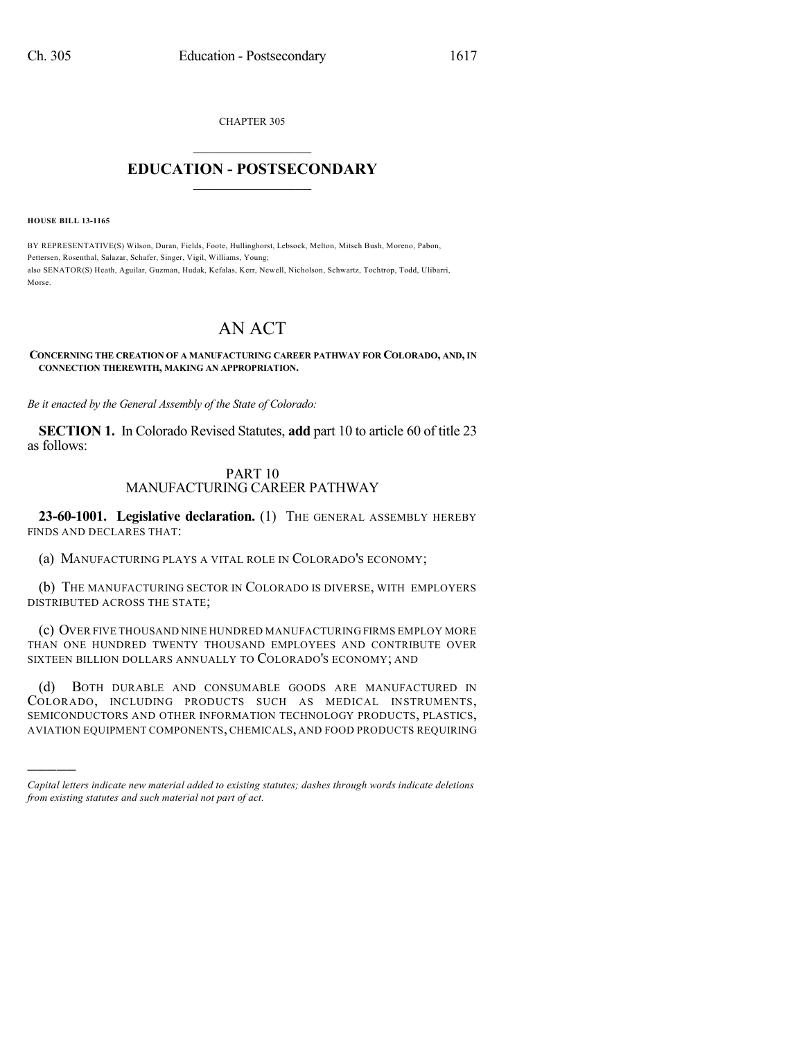CHAPTER 305

## $\mathcal{L}_\text{max}$  . The set of the set of the set of the set of the set of the set of the set of the set of the set of the set of the set of the set of the set of the set of the set of the set of the set of the set of the set **EDUCATION - POSTSECONDARY**  $\frac{1}{2}$  ,  $\frac{1}{2}$  ,  $\frac{1}{2}$  ,  $\frac{1}{2}$  ,  $\frac{1}{2}$  ,  $\frac{1}{2}$  ,  $\frac{1}{2}$

**HOUSE BILL 13-1165**

)))))

BY REPRESENTATIVE(S) Wilson, Duran, Fields, Foote, Hullinghorst, Lebsock, Melton, Mitsch Bush, Moreno, Pabon, Pettersen, Rosenthal, Salazar, Schafer, Singer, Vigil, Williams, Young; also SENATOR(S) Heath, Aguilar, Guzman, Hudak, Kefalas, Kerr, Newell, Nicholson, Schwartz, Tochtrop, Todd, Ulibarri, Morse.

## AN ACT

## **CONCERNING THE CREATION OF A MANUFACTURING CAREER PATHWAY FOR COLORADO, AND, IN CONNECTION THEREWITH, MAKING AN APPROPRIATION.**

*Be it enacted by the General Assembly of the State of Colorado:*

**SECTION 1.** In Colorado Revised Statutes, **add** part 10 to article 60 of title 23 as follows:

## PART 10 MANUFACTURING CAREER PATHWAY

**23-60-1001. Legislative declaration.** (1) THE GENERAL ASSEMBLY HEREBY FINDS AND DECLARES THAT:

(a) MANUFACTURING PLAYS A VITAL ROLE IN COLORADO'S ECONOMY;

(b) THE MANUFACTURING SECTOR IN COLORADO IS DIVERSE, WITH EMPLOYERS DISTRIBUTED ACROSS THE STATE;

(c) OVER FIVE THOUSAND NINE HUNDRED MANUFACTURING FIRMS EMPLOY MORE THAN ONE HUNDRED TWENTY THOUSAND EMPLOYEES AND CONTRIBUTE OVER SIXTEEN BILLION DOLLARS ANNUALLY TO COLORADO'S ECONOMY; AND

(d) BOTH DURABLE AND CONSUMABLE GOODS ARE MANUFACTURED IN COLORADO, INCLUDING PRODUCTS SUCH AS MEDICAL INSTRUMENTS, SEMICONDUCTORS AND OTHER INFORMATION TECHNOLOGY PRODUCTS, PLASTICS, AVIATION EQUIPMENT COMPONENTS, CHEMICALS, AND FOOD PRODUCTS REQUIRING

*Capital letters indicate new material added to existing statutes; dashes through words indicate deletions from existing statutes and such material not part of act.*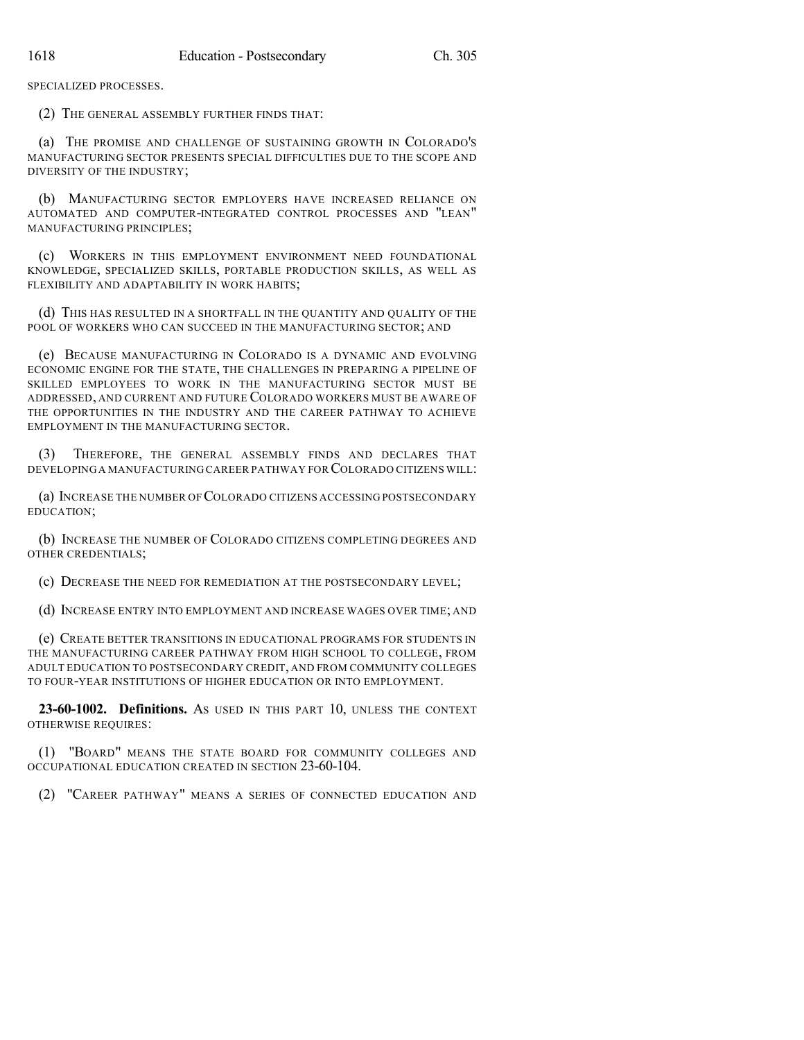SPECIALIZED PROCESSES.

(2) THE GENERAL ASSEMBLY FURTHER FINDS THAT:

(a) THE PROMISE AND CHALLENGE OF SUSTAINING GROWTH IN COLORADO'S MANUFACTURING SECTOR PRESENTS SPECIAL DIFFICULTIES DUE TO THE SCOPE AND DIVERSITY OF THE INDUSTRY;

(b) MANUFACTURING SECTOR EMPLOYERS HAVE INCREASED RELIANCE ON AUTOMATED AND COMPUTER-INTEGRATED CONTROL PROCESSES AND "LEAN" MANUFACTURING PRINCIPLES;

(c) WORKERS IN THIS EMPLOYMENT ENVIRONMENT NEED FOUNDATIONAL KNOWLEDGE, SPECIALIZED SKILLS, PORTABLE PRODUCTION SKILLS, AS WELL AS FLEXIBILITY AND ADAPTABILITY IN WORK HABITS;

(d) THIS HAS RESULTED IN A SHORTFALL IN THE QUANTITY AND QUALITY OF THE POOL OF WORKERS WHO CAN SUCCEED IN THE MANUFACTURING SECTOR; AND

(e) BECAUSE MANUFACTURING IN COLORADO IS A DYNAMIC AND EVOLVING ECONOMIC ENGINE FOR THE STATE, THE CHALLENGES IN PREPARING A PIPELINE OF SKILLED EMPLOYEES TO WORK IN THE MANUFACTURING SECTOR MUST BE ADDRESSED, AND CURRENT AND FUTURE COLORADO WORKERS MUST BE AWARE OF THE OPPORTUNITIES IN THE INDUSTRY AND THE CAREER PATHWAY TO ACHIEVE EMPLOYMENT IN THE MANUFACTURING SECTOR.

(3) THEREFORE, THE GENERAL ASSEMBLY FINDS AND DECLARES THAT DEVELOPING A MANUFACTURING CAREER PATHWAY FOR COLORADO CITIZENS WILL:

(a) INCREASE THE NUMBER OF COLORADO CITIZENS ACCESSING POSTSECONDARY EDUCATION;

(b) INCREASE THE NUMBER OF COLORADO CITIZENS COMPLETING DEGREES AND OTHER CREDENTIALS;

(c) DECREASE THE NEED FOR REMEDIATION AT THE POSTSECONDARY LEVEL;

(d) INCREASE ENTRY INTO EMPLOYMENT AND INCREASE WAGES OVER TIME; AND

(e) CREATE BETTER TRANSITIONS IN EDUCATIONAL PROGRAMS FOR STUDENTS IN THE MANUFACTURING CAREER PATHWAY FROM HIGH SCHOOL TO COLLEGE, FROM ADULT EDUCATION TO POSTSECONDARY CREDIT, AND FROM COMMUNITY COLLEGES TO FOUR-YEAR INSTITUTIONS OF HIGHER EDUCATION OR INTO EMPLOYMENT.

**23-60-1002. Definitions.** AS USED IN THIS PART 10, UNLESS THE CONTEXT OTHERWISE REQUIRES:

(1) "BOARD" MEANS THE STATE BOARD FOR COMMUNITY COLLEGES AND OCCUPATIONAL EDUCATION CREATED IN SECTION 23-60-104.

(2) "CAREER PATHWAY" MEANS A SERIES OF CONNECTED EDUCATION AND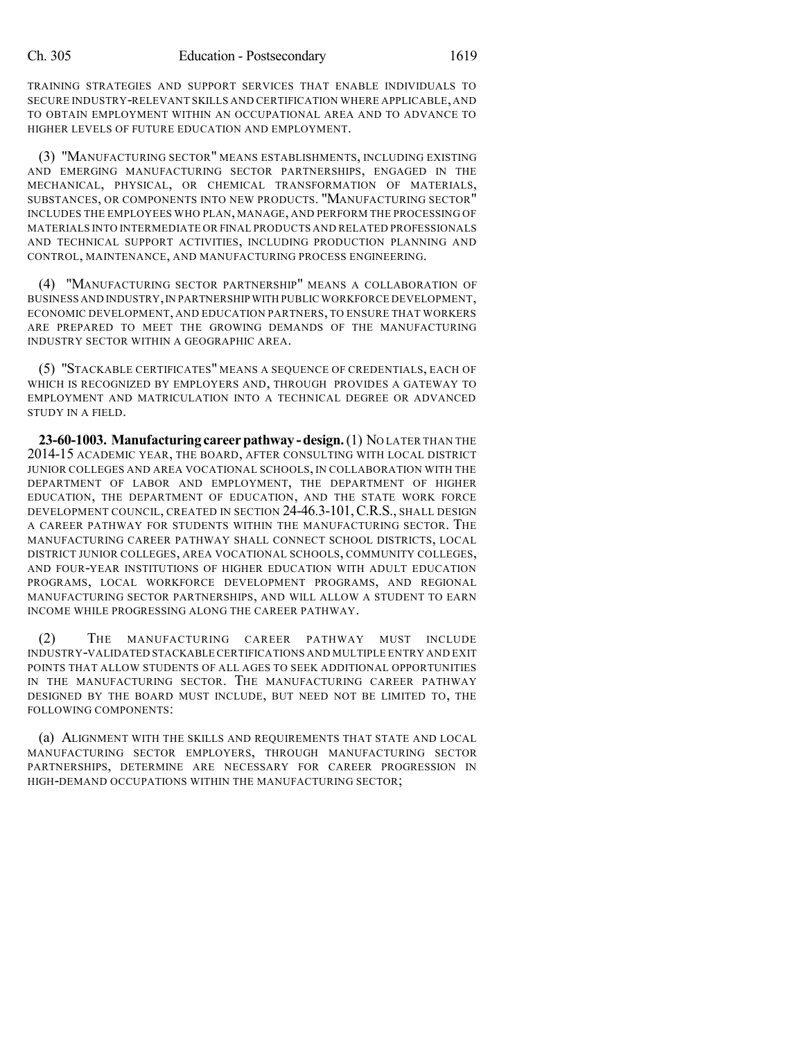TRAINING STRATEGIES AND SUPPORT SERVICES THAT ENABLE INDIVIDUALS TO SECURE INDUSTRY-RELEVANT SKILLS AND CERTIFICATION WHERE APPLICABLE, AND TO OBTAIN EMPLOYMENT WITHIN AN OCCUPATIONAL AREA AND TO ADVANCE TO HIGHER LEVELS OF FUTURE EDUCATION AND EMPLOYMENT.

(3) "MANUFACTURING SECTOR" MEANS ESTABLISHMENTS, INCLUDING EXISTING AND EMERGING MANUFACTURING SECTOR PARTNERSHIPS, ENGAGED IN THE MECHANICAL, PHYSICAL, OR CHEMICAL TRANSFORMATION OF MATERIALS, SUBSTANCES, OR COMPONENTS INTO NEW PRODUCTS. "MANUFACTURING SECTOR" INCLUDES THE EMPLOYEES WHO PLAN, MANAGE, AND PERFORM THE PROCESSING OF MATERIALS INTO INTERMEDIATE OR FINAL PRODUCTS AND RELATED PROFESSIONALS AND TECHNICAL SUPPORT ACTIVITIES, INCLUDING PRODUCTION PLANNING AND CONTROL, MAINTENANCE, AND MANUFACTURING PROCESS ENGINEERING.

(4) "MANUFACTURING SECTOR PARTNERSHIP" MEANS A COLLABORATION OF BUSINESS AND INDUSTRY,IN PARTNERSHIP WITH PUBLIC WORKFORCE DEVELOPMENT, ECONOMIC DEVELOPMENT, AND EDUCATION PARTNERS, TO ENSURE THAT WORKERS ARE PREPARED TO MEET THE GROWING DEMANDS OF THE MANUFACTURING INDUSTRY SECTOR WITHIN A GEOGRAPHIC AREA.

(5) "STACKABLE CERTIFICATES" MEANS A SEQUENCE OF CREDENTIALS, EACH OF WHICH IS RECOGNIZED BY EMPLOYERS AND, THROUGH PROVIDES A GATEWAY TO EMPLOYMENT AND MATRICULATION INTO A TECHNICAL DEGREE OR ADVANCED STUDY IN A FIELD.

**23-60-1003. Manufacturing careerpathway -design.**(1) NO LATER THAN THE 2014-15 ACADEMIC YEAR, THE BOARD, AFTER CONSULTING WITH LOCAL DISTRICT JUNIOR COLLEGES AND AREA VOCATIONAL SCHOOLS, IN COLLABORATION WITH THE DEPARTMENT OF LABOR AND EMPLOYMENT, THE DEPARTMENT OF HIGHER EDUCATION, THE DEPARTMENT OF EDUCATION, AND THE STATE WORK FORCE DEVELOPMENT COUNCIL, CREATED IN SECTION 24-46.3-101, C.R.S., SHALL DESIGN A CAREER PATHWAY FOR STUDENTS WITHIN THE MANUFACTURING SECTOR. THE MANUFACTURING CAREER PATHWAY SHALL CONNECT SCHOOL DISTRICTS, LOCAL DISTRICT JUNIOR COLLEGES, AREA VOCATIONAL SCHOOLS, COMMUNITY COLLEGES, AND FOUR-YEAR INSTITUTIONS OF HIGHER EDUCATION WITH ADULT EDUCATION PROGRAMS, LOCAL WORKFORCE DEVELOPMENT PROGRAMS, AND REGIONAL MANUFACTURING SECTOR PARTNERSHIPS, AND WILL ALLOW A STUDENT TO EARN INCOME WHILE PROGRESSING ALONG THE CAREER PATHWAY.

(2) THE MANUFACTURING CAREER PATHWAY MUST INCLUDE INDUSTRY-VALIDATED STACKABLE CERTIFICATIONS AND MULTIPLE ENTRY AND EXIT POINTS THAT ALLOW STUDENTS OF ALL AGES TO SEEK ADDITIONAL OPPORTUNITIES IN THE MANUFACTURING SECTOR. THE MANUFACTURING CAREER PATHWAY DESIGNED BY THE BOARD MUST INCLUDE, BUT NEED NOT BE LIMITED TO, THE FOLLOWING COMPONENTS:

(a) ALIGNMENT WITH THE SKILLS AND REQUIREMENTS THAT STATE AND LOCAL MANUFACTURING SECTOR EMPLOYERS, THROUGH MANUFACTURING SECTOR PARTNERSHIPS, DETERMINE ARE NECESSARY FOR CAREER PROGRESSION IN HIGH-DEMAND OCCUPATIONS WITHIN THE MANUFACTURING SECTOR;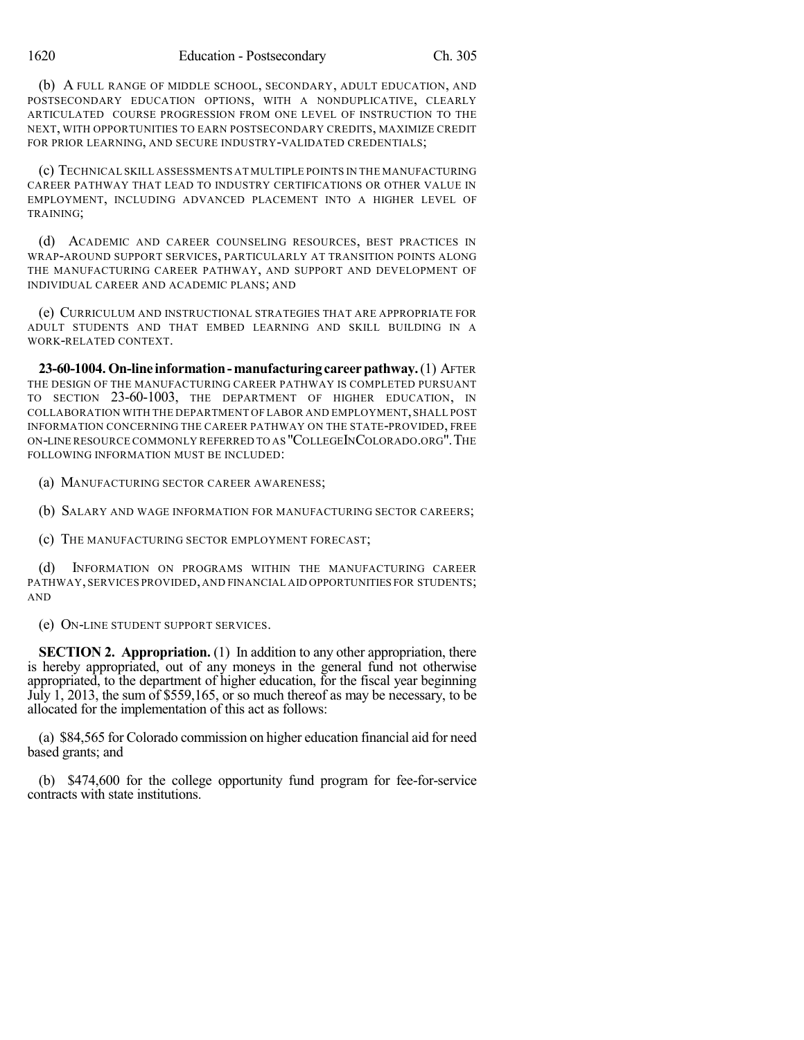(b) A FULL RANGE OF MIDDLE SCHOOL, SECONDARY, ADULT EDUCATION, AND POSTSECONDARY EDUCATION OPTIONS, WITH A NONDUPLICATIVE, CLEARLY ARTICULATED COURSE PROGRESSION FROM ONE LEVEL OF INSTRUCTION TO THE NEXT, WITH OPPORTUNITIES TO EARN POSTSECONDARY CREDITS, MAXIMIZE CREDIT FOR PRIOR LEARNING, AND SECURE INDUSTRY-VALIDATED CREDENTIALS;

(c) TECHNICAL SKILL ASSESSMENTS AT MULTIPLE POINTS IN THE MANUFACTURING CAREER PATHWAY THAT LEAD TO INDUSTRY CERTIFICATIONS OR OTHER VALUE IN EMPLOYMENT, INCLUDING ADVANCED PLACEMENT INTO A HIGHER LEVEL OF TRAINING;

(d) ACADEMIC AND CAREER COUNSELING RESOURCES, BEST PRACTICES IN WRAP-AROUND SUPPORT SERVICES, PARTICULARLY AT TRANSITION POINTS ALONG THE MANUFACTURING CAREER PATHWAY, AND SUPPORT AND DEVELOPMENT OF INDIVIDUAL CAREER AND ACADEMIC PLANS; AND

(e) CURRICULUM AND INSTRUCTIONAL STRATEGIES THAT ARE APPROPRIATE FOR ADULT STUDENTS AND THAT EMBED LEARNING AND SKILL BUILDING IN A WORK-RELATED CONTEXT.

**23-60-1004. On-line information-manufacturingcareerpathway.**(1) AFTER THE DESIGN OF THE MANUFACTURING CAREER PATHWAY IS COMPLETED PURSUANT TO SECTION 23-60-1003, THE DEPARTMENT OF HIGHER EDUCATION, IN COLLABORATION WITH THE DEPARTMENT OF LABOR AND EMPLOYMENT,SHALL POST INFORMATION CONCERNING THE CAREER PATHWAY ON THE STATE-PROVIDED, FREE ON-LINE RESOURCE COMMONLY REFERRED TO AS "COLLEGEINCOLORADO.ORG".THE FOLLOWING INFORMATION MUST BE INCLUDED:

(a) MANUFACTURING SECTOR CAREER AWARENESS;

(b) SALARY AND WAGE INFORMATION FOR MANUFACTURING SECTOR CAREERS;

(c) THE MANUFACTURING SECTOR EMPLOYMENT FORECAST;

(d) INFORMATION ON PROGRAMS WITHIN THE MANUFACTURING CAREER PATHWAY,SERVICES PROVIDED,AND FINANCIAL AID OPPORTUNITIES FOR STUDENTS; AND

(e) ON-LINE STUDENT SUPPORT SERVICES.

**SECTION 2. Appropriation.** (1) In addition to any other appropriation, there is hereby appropriated, out of any moneys in the general fund not otherwise appropriated, to the department of higher education, for the fiscal year beginning July 1, 2013, the sum of \$559,165, or so much thereof as may be necessary, to be allocated for the implementation of this act as follows:

(a) \$84,565 for Colorado commission on higher education financial aid for need based grants; and

(b) \$474,600 for the college opportunity fund program for fee-for-service contracts with state institutions.